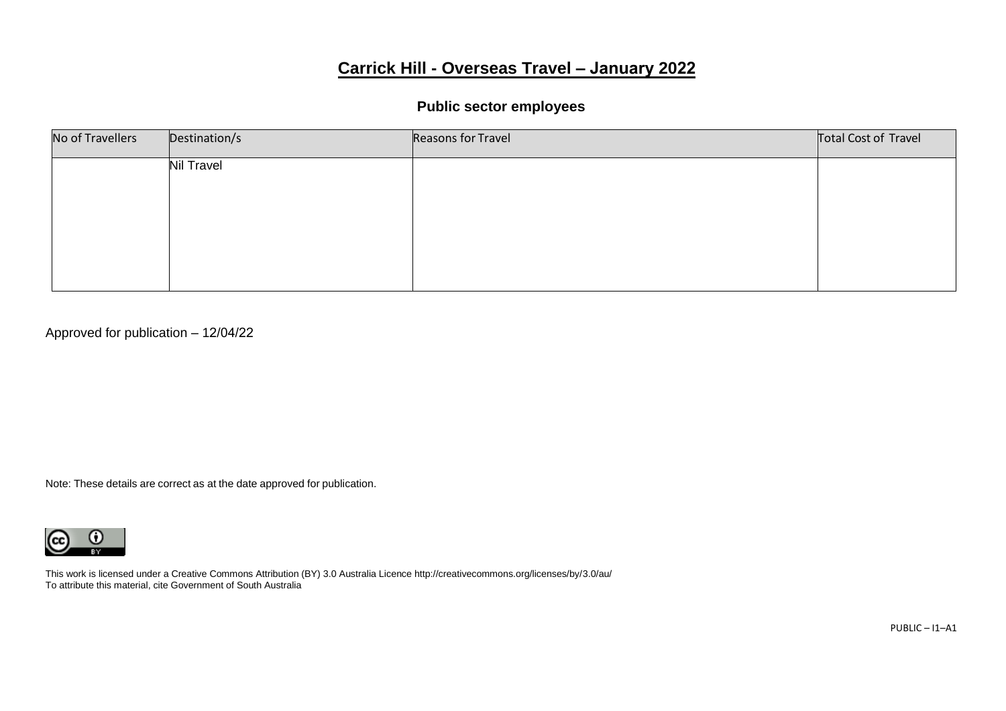# **Carrick Hill - Overseas Travel – January 2022**

## **Public sector employees**

| No of Travellers | Destination/s     | Reasons for Travel | Total Cost of Travel |
|------------------|-------------------|--------------------|----------------------|
|                  | <b>Nil Travel</b> |                    |                      |
|                  |                   |                    |                      |
|                  |                   |                    |                      |
|                  |                   |                    |                      |
|                  |                   |                    |                      |

Approved for publication – 12/04/22

Note: These details are correct as at the date approved for publication.



This work is licensed under a Creative Commons Attribution (BY) 3.0 Australia Licence http://creativecommons.org/licenses/by/3.0/au/ To attribute this material, cite Government of South Australia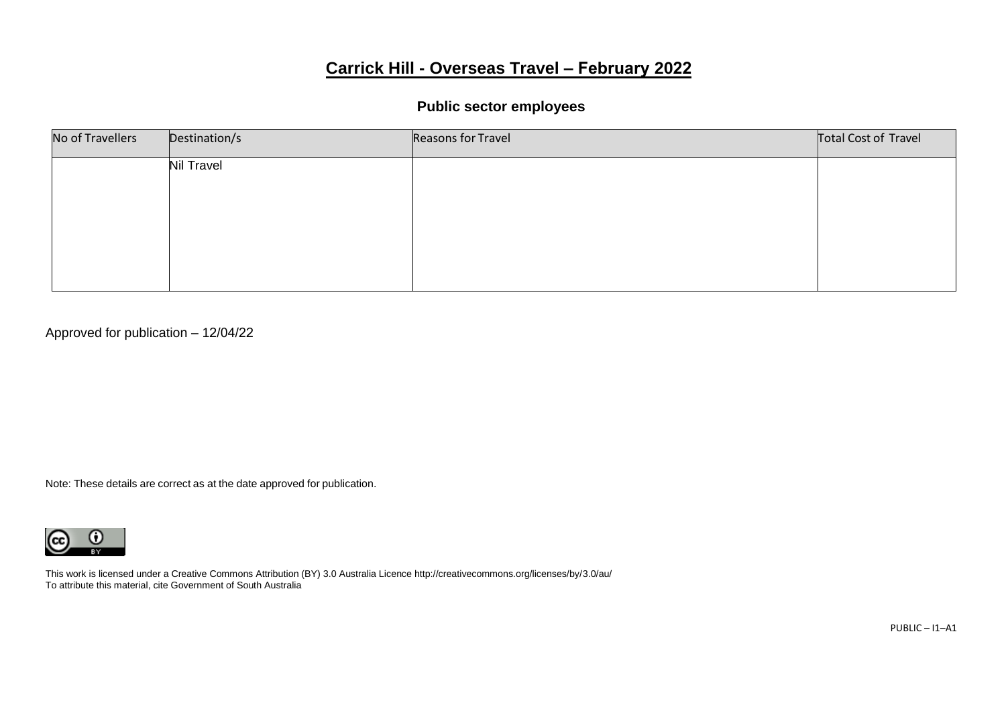# **Carrick Hill - Overseas Travel – February 2022**

## **Public sector employees**

| No of Travellers | Destination/s     | Reasons for Travel | Total Cost of Travel |
|------------------|-------------------|--------------------|----------------------|
|                  | <b>Nil Travel</b> |                    |                      |
|                  |                   |                    |                      |
|                  |                   |                    |                      |
|                  |                   |                    |                      |
|                  |                   |                    |                      |

Approved for publication – 12/04/22

Note: These details are correct as at the date approved for publication.



This work is licensed under a Creative Commons Attribution (BY) 3.0 Australia Licence http://creativecommons.org/licenses/by/3.0/au/ To attribute this material, cite Government of South Australia